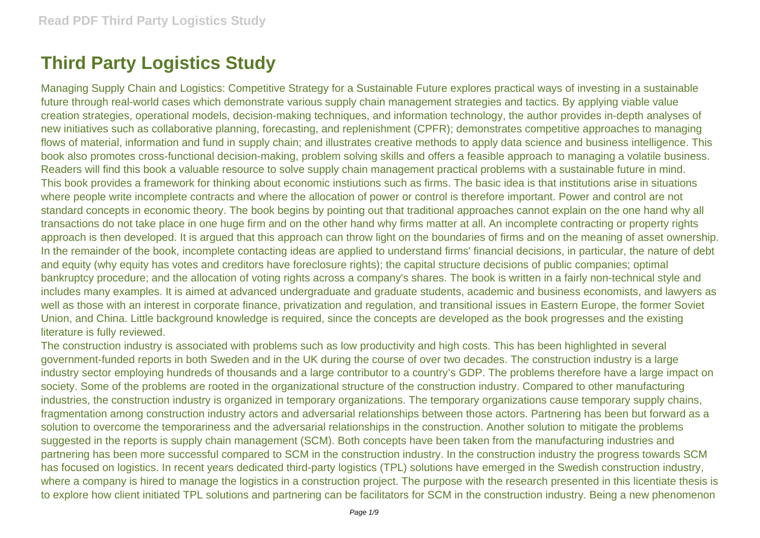## **Third Party Logistics Study**

Managing Supply Chain and Logistics: Competitive Strategy for a Sustainable Future explores practical ways of investing in a sustainable future through real-world cases which demonstrate various supply chain management strategies and tactics. By applying viable value creation strategies, operational models, decision-making techniques, and information technology, the author provides in-depth analyses of new initiatives such as collaborative planning, forecasting, and replenishment (CPFR); demonstrates competitive approaches to managing flows of material, information and fund in supply chain; and illustrates creative methods to apply data science and business intelligence. This book also promotes cross-functional decision-making, problem solving skills and offers a feasible approach to managing a volatile business. Readers will find this book a valuable resource to solve supply chain management practical problems with a sustainable future in mind. This book provides a framework for thinking about economic instiutions such as firms. The basic idea is that institutions arise in situations where people write incomplete contracts and where the allocation of power or control is therefore important. Power and control are not standard concepts in economic theory. The book begins by pointing out that traditional approaches cannot explain on the one hand why all transactions do not take place in one huge firm and on the other hand why firms matter at all. An incomplete contracting or property rights approach is then developed. It is argued that this approach can throw light on the boundaries of firms and on the meaning of asset ownership. In the remainder of the book, incomplete contacting ideas are applied to understand firms' financial decisions, in particular, the nature of debt and equity (why equity has votes and creditors have foreclosure rights); the capital structure decisions of public companies; optimal bankruptcy procedure; and the allocation of voting rights across a company's shares. The book is written in a fairly non-technical style and includes many examples. It is aimed at advanced undergraduate and graduate students, academic and business economists, and lawyers as well as those with an interest in corporate finance, privatization and regulation, and transitional issues in Eastern Europe, the former Soviet Union, and China. Little background knowledge is required, since the concepts are developed as the book progresses and the existing literature is fully reviewed.

The construction industry is associated with problems such as low productivity and high costs. This has been highlighted in several government-funded reports in both Sweden and in the UK during the course of over two decades. The construction industry is a large industry sector employing hundreds of thousands and a large contributor to a country's GDP. The problems therefore have a large impact on society. Some of the problems are rooted in the organizational structure of the construction industry. Compared to other manufacturing industries, the construction industry is organized in temporary organizations. The temporary organizations cause temporary supply chains, fragmentation among construction industry actors and adversarial relationships between those actors. Partnering has been but forward as a solution to overcome the temporariness and the adversarial relationships in the construction. Another solution to mitigate the problems suggested in the reports is supply chain management (SCM). Both concepts have been taken from the manufacturing industries and partnering has been more successful compared to SCM in the construction industry. In the construction industry the progress towards SCM has focused on logistics. In recent years dedicated third-party logistics (TPL) solutions have emerged in the Swedish construction industry, where a company is hired to manage the logistics in a construction project. The purpose with the research presented in this licentiate thesis is to explore how client initiated TPL solutions and partnering can be facilitators for SCM in the construction industry. Being a new phenomenon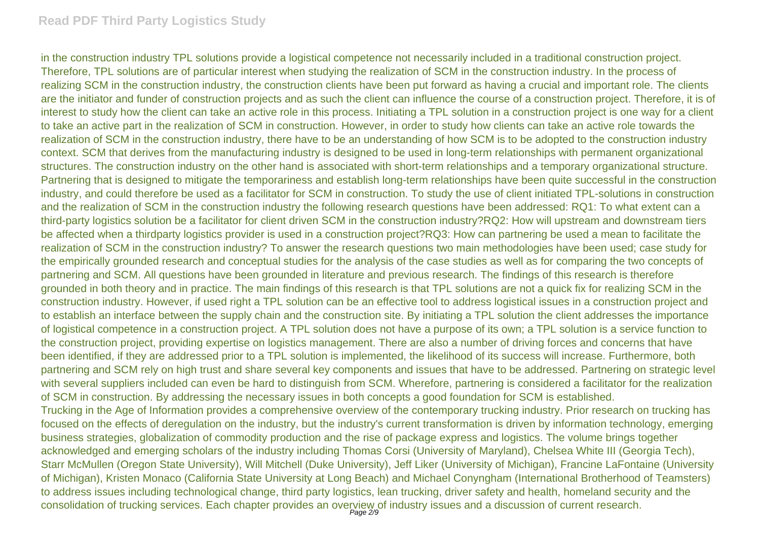## **Read PDF Third Party Logistics Study**

in the construction industry TPL solutions provide a logistical competence not necessarily included in a traditional construction project. Therefore, TPL solutions are of particular interest when studying the realization of SCM in the construction industry. In the process of realizing SCM in the construction industry, the construction clients have been put forward as having a crucial and important role. The clients are the initiator and funder of construction projects and as such the client can influence the course of a construction project. Therefore, it is of interest to study how the client can take an active role in this process. Initiating a TPL solution in a construction project is one way for a client to take an active part in the realization of SCM in construction. However, in order to study how clients can take an active role towards the realization of SCM in the construction industry, there have to be an understanding of how SCM is to be adopted to the construction industry context. SCM that derives from the manufacturing industry is designed to be used in long-term relationships with permanent organizational structures. The construction industry on the other hand is associated with short-term relationships and a temporary organizational structure. Partnering that is designed to mitigate the temporariness and establish long-term relationships have been quite successful in the construction industry, and could therefore be used as a facilitator for SCM in construction. To study the use of client initiated TPL-solutions in construction and the realization of SCM in the construction industry the following research questions have been addressed: RQ1: To what extent can a third-party logistics solution be a facilitator for client driven SCM in the construction industry?RQ2: How will upstream and downstream tiers be affected when a thirdparty logistics provider is used in a construction project?RQ3: How can partnering be used a mean to facilitate the realization of SCM in the construction industry? To answer the research questions two main methodologies have been used; case study for the empirically grounded research and conceptual studies for the analysis of the case studies as well as for comparing the two concepts of partnering and SCM. All questions have been grounded in literature and previous research. The findings of this research is therefore grounded in both theory and in practice. The main findings of this research is that TPL solutions are not a quick fix for realizing SCM in the construction industry. However, if used right a TPL solution can be an effective tool to address logistical issues in a construction project and to establish an interface between the supply chain and the construction site. By initiating a TPL solution the client addresses the importance of logistical competence in a construction project. A TPL solution does not have a purpose of its own; a TPL solution is a service function to the construction project, providing expertise on logistics management. There are also a number of driving forces and concerns that have been identified, if they are addressed prior to a TPL solution is implemented, the likelihood of its success will increase. Furthermore, both partnering and SCM rely on high trust and share several key components and issues that have to be addressed. Partnering on strategic level with several suppliers included can even be hard to distinguish from SCM. Wherefore, partnering is considered a facilitator for the realization of SCM in construction. By addressing the necessary issues in both concepts a good foundation for SCM is established. Trucking in the Age of Information provides a comprehensive overview of the contemporary trucking industry. Prior research on trucking has focused on the effects of deregulation on the industry, but the industry's current transformation is driven by information technology, emerging business strategies, globalization of commodity production and the rise of package express and logistics. The volume brings together acknowledged and emerging scholars of the industry including Thomas Corsi (University of Maryland), Chelsea White III (Georgia Tech), Starr McMullen (Oregon State University), Will Mitchell (Duke University), Jeff Liker (University of Michigan), Francine LaFontaine (University of Michigan), Kristen Monaco (California State University at Long Beach) and Michael Conyngham (International Brotherhood of Teamsters)

to address issues including technological change, third party logistics, lean trucking, driver safety and health, homeland security and the consolidation of trucking services. Each chapter provides an overview of industry issues and a discussion of current research. Page 2/9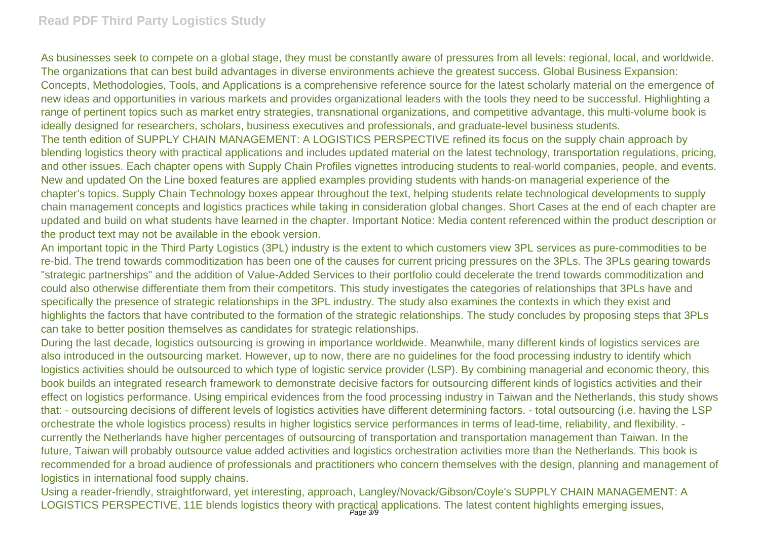## **Read PDF Third Party Logistics Study**

As businesses seek to compete on a global stage, they must be constantly aware of pressures from all levels: regional, local, and worldwide. The organizations that can best build advantages in diverse environments achieve the greatest success. Global Business Expansion: Concepts, Methodologies, Tools, and Applications is a comprehensive reference source for the latest scholarly material on the emergence of new ideas and opportunities in various markets and provides organizational leaders with the tools they need to be successful. Highlighting a range of pertinent topics such as market entry strategies, transnational organizations, and competitive advantage, this multi-volume book is ideally designed for researchers, scholars, business executives and professionals, and graduate-level business students. The tenth edition of SUPPLY CHAIN MANAGEMENT: A LOGISTICS PERSPECTIVE refined its focus on the supply chain approach by blending logistics theory with practical applications and includes updated material on the latest technology, transportation regulations, pricing, and other issues. Each chapter opens with Supply Chain Profiles vignettes introducing students to real-world companies, people, and events. New and updated On the Line boxed features are applied examples providing students with hands-on managerial experience of the chapter's topics. Supply Chain Technology boxes appear throughout the text, helping students relate technological developments to supply chain management concepts and logistics practices while taking in consideration global changes. Short Cases at the end of each chapter are updated and build on what students have learned in the chapter. Important Notice: Media content referenced within the product description or the product text may not be available in the ebook version.

An important topic in the Third Party Logistics (3PL) industry is the extent to which customers view 3PL services as pure-commodities to be re-bid. The trend towards commoditization has been one of the causes for current pricing pressures on the 3PLs. The 3PLs gearing towards "strategic partnerships" and the addition of Value-Added Services to their portfolio could decelerate the trend towards commoditization and could also otherwise differentiate them from their competitors. This study investigates the categories of relationships that 3PLs have and specifically the presence of strategic relationships in the 3PL industry. The study also examines the contexts in which they exist and highlights the factors that have contributed to the formation of the strategic relationships. The study concludes by proposing steps that 3PLs can take to better position themselves as candidates for strategic relationships.

During the last decade, logistics outsourcing is growing in importance worldwide. Meanwhile, many different kinds of logistics services are also introduced in the outsourcing market. However, up to now, there are no guidelines for the food processing industry to identify which logistics activities should be outsourced to which type of logistic service provider (LSP). By combining managerial and economic theory, this book builds an integrated research framework to demonstrate decisive factors for outsourcing different kinds of logistics activities and their effect on logistics performance. Using empirical evidences from the food processing industry in Taiwan and the Netherlands, this study shows that: - outsourcing decisions of different levels of logistics activities have different determining factors. - total outsourcing (i.e. having the LSP orchestrate the whole logistics process) results in higher logistics service performances in terms of lead-time, reliability, and flexibility. currently the Netherlands have higher percentages of outsourcing of transportation and transportation management than Taiwan. In the future. Taiwan will probably outsource value added activities and logistics orchestration activities more than the Netherlands. This book is recommended for a broad audience of professionals and practitioners who concern themselves with the design, planning and management of logistics in international food supply chains.

Using a reader-friendly, straightforward, yet interesting, approach, Langley/Novack/Gibson/Coyle's SUPPLY CHAIN MANAGEMENT: A LOGISTICS PERSPECTIVE, 11E blends logistics theory with practical applications. The latest content highlights emerging issues,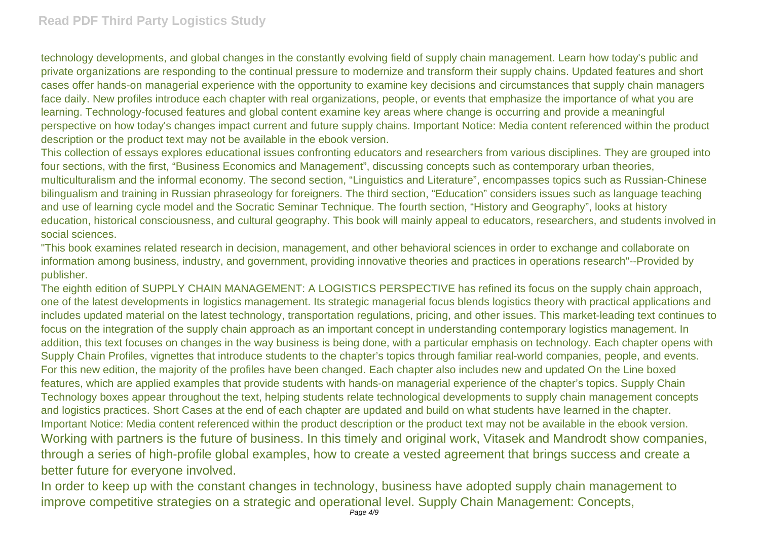technology developments, and global changes in the constantly evolving field of supply chain management. Learn how today's public and private organizations are responding to the continual pressure to modernize and transform their supply chains. Updated features and short cases offer hands-on managerial experience with the opportunity to examine key decisions and circumstances that supply chain managers face daily. New profiles introduce each chapter with real organizations, people, or events that emphasize the importance of what you are learning. Technology-focused features and global content examine key areas where change is occurring and provide a meaningful perspective on how today's changes impact current and future supply chains. Important Notice: Media content referenced within the product description or the product text may not be available in the ebook version.

This collection of essays explores educational issues confronting educators and researchers from various disciplines. They are grouped into four sections, with the first, "Business Economics and Management", discussing concepts such as contemporary urban theories, multiculturalism and the informal economy. The second section, "Linguistics and Literature", encompasses topics such as Russian-Chinese bilingualism and training in Russian phraseology for foreigners. The third section, "Education" considers issues such as language teaching and use of learning cycle model and the Socratic Seminar Technique. The fourth section, "History and Geography", looks at history education, historical consciousness, and cultural geography. This book will mainly appeal to educators, researchers, and students involved in social sciences.

"This book examines related research in decision, management, and other behavioral sciences in order to exchange and collaborate on information among business, industry, and government, providing innovative theories and practices in operations research"--Provided by publisher.

The eighth edition of SUPPLY CHAIN MANAGEMENT: A LOGISTICS PERSPECTIVE has refined its focus on the supply chain approach, one of the latest developments in logistics management. Its strategic managerial focus blends logistics theory with practical applications and includes updated material on the latest technology, transportation regulations, pricing, and other issues. This market-leading text continues to focus on the integration of the supply chain approach as an important concept in understanding contemporary logistics management. In addition, this text focuses on changes in the way business is being done, with a particular emphasis on technology. Each chapter opens with Supply Chain Profiles, vignettes that introduce students to the chapter's topics through familiar real-world companies, people, and events. For this new edition, the majority of the profiles have been changed. Each chapter also includes new and updated On the Line boxed features, which are applied examples that provide students with hands-on managerial experience of the chapter's topics. Supply Chain Technology boxes appear throughout the text, helping students relate technological developments to supply chain management concepts and logistics practices. Short Cases at the end of each chapter are updated and build on what students have learned in the chapter. Important Notice: Media content referenced within the product description or the product text may not be available in the ebook version. Working with partners is the future of business. In this timely and original work, Vitasek and Mandrodt show companies, through a series of high-profile global examples, how to create a vested agreement that brings success and create a better future for everyone involved.

In order to keep up with the constant changes in technology, business have adopted supply chain management to improve competitive strategies on a strategic and operational level. Supply Chain Management: Concepts,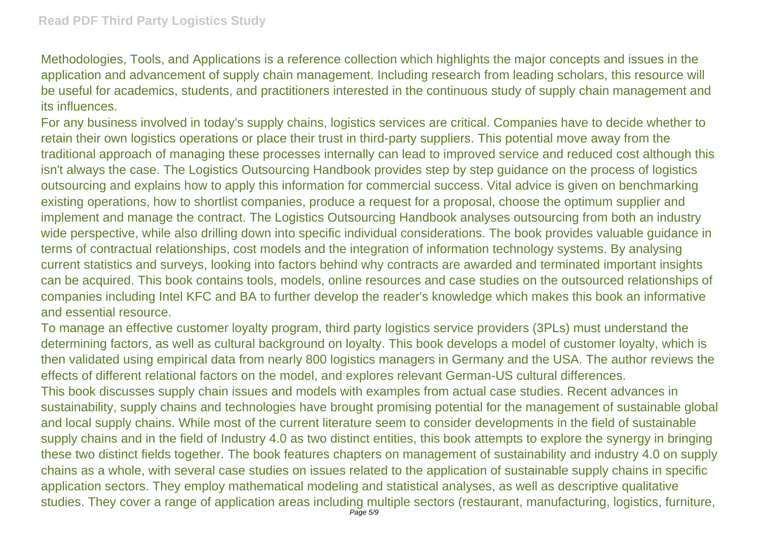Methodologies, Tools, and Applications is a reference collection which highlights the major concepts and issues in the application and advancement of supply chain management. Including research from leading scholars, this resource will be useful for academics, students, and practitioners interested in the continuous study of supply chain management and its influences.

For any business involved in today's supply chains, logistics services are critical. Companies have to decide whether to retain their own logistics operations or place their trust in third-party suppliers. This potential move away from the traditional approach of managing these processes internally can lead to improved service and reduced cost although this isn't always the case. The Logistics Outsourcing Handbook provides step by step guidance on the process of logistics outsourcing and explains how to apply this information for commercial success. Vital advice is given on benchmarking existing operations, how to shortlist companies, produce a request for a proposal, choose the optimum supplier and implement and manage the contract. The Logistics Outsourcing Handbook analyses outsourcing from both an industry wide perspective, while also drilling down into specific individual considerations. The book provides valuable guidance in terms of contractual relationships, cost models and the integration of information technology systems. By analysing current statistics and surveys, looking into factors behind why contracts are awarded and terminated important insights can be acquired. This book contains tools, models, online resources and case studies on the outsourced relationships of companies including Intel KFC and BA to further develop the reader's knowledge which makes this book an informative and essential resource.

To manage an effective customer loyalty program, third party logistics service providers (3PLs) must understand the determining factors, as well as cultural background on loyalty. This book develops a model of customer loyalty, which is then validated using empirical data from nearly 800 logistics managers in Germany and the USA. The author reviews the effects of different relational factors on the model, and explores relevant German-US cultural differences. This book discusses supply chain issues and models with examples from actual case studies. Recent advances in sustainability, supply chains and technologies have brought promising potential for the management of sustainable global and local supply chains. While most of the current literature seem to consider developments in the field of sustainable supply chains and in the field of Industry 4.0 as two distinct entities, this book attempts to explore the synergy in bringing these two distinct fields together. The book features chapters on management of sustainability and industry 4.0 on supply chains as a whole, with several case studies on issues related to the application of sustainable supply chains in specific application sectors. They employ mathematical modeling and statistical analyses, as well as descriptive qualitative studies. They cover a range of application areas including multiple sectors (restaurant, manufacturing, logistics, furniture, Page 5/9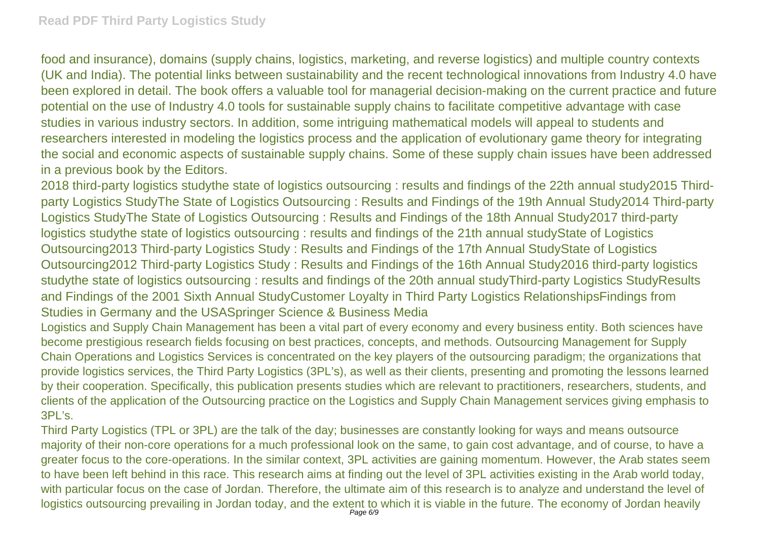food and insurance), domains (supply chains, logistics, marketing, and reverse logistics) and multiple country contexts (UK and India). The potential links between sustainability and the recent technological innovations from Industry 4.0 have been explored in detail. The book offers a valuable tool for managerial decision-making on the current practice and future potential on the use of Industry 4.0 tools for sustainable supply chains to facilitate competitive advantage with case studies in various industry sectors. In addition, some intriguing mathematical models will appeal to students and researchers interested in modeling the logistics process and the application of evolutionary game theory for integrating the social and economic aspects of sustainable supply chains. Some of these supply chain issues have been addressed in a previous book by the Editors.

2018 third-party logistics studythe state of logistics outsourcing : results and findings of the 22th annual study2015 Thirdparty Logistics StudyThe State of Logistics Outsourcing : Results and Findings of the 19th Annual Study2014 Third-party Logistics StudyThe State of Logistics Outsourcing : Results and Findings of the 18th Annual Study2017 third-party logistics studythe state of logistics outsourcing : results and findings of the 21th annual studyState of Logistics Outsourcing2013 Third-party Logistics Study : Results and Findings of the 17th Annual StudyState of Logistics Outsourcing2012 Third-party Logistics Study : Results and Findings of the 16th Annual Study2016 third-party logistics studythe state of logistics outsourcing : results and findings of the 20th annual studyThird-party Logistics StudyResults and Findings of the 2001 Sixth Annual StudyCustomer Loyalty in Third Party Logistics RelationshipsFindings from Studies in Germany and the USASpringer Science & Business Media

Logistics and Supply Chain Management has been a vital part of every economy and every business entity. Both sciences have become prestigious research fields focusing on best practices, concepts, and methods. Outsourcing Management for Supply Chain Operations and Logistics Services is concentrated on the key players of the outsourcing paradigm; the organizations that provide logistics services, the Third Party Logistics (3PL's), as well as their clients, presenting and promoting the lessons learned by their cooperation. Specifically, this publication presents studies which are relevant to practitioners, researchers, students, and clients of the application of the Outsourcing practice on the Logistics and Supply Chain Management services giving emphasis to 3PL's.

Third Party Logistics (TPL or 3PL) are the talk of the day; businesses are constantly looking for ways and means outsource majority of their non-core operations for a much professional look on the same, to gain cost advantage, and of course, to have a greater focus to the core-operations. In the similar context, 3PL activities are gaining momentum. However, the Arab states seem to have been left behind in this race. This research aims at finding out the level of 3PL activities existing in the Arab world today, with particular focus on the case of Jordan. Therefore, the ultimate aim of this research is to analyze and understand the level of logistics outsourcing prevailing in Jordan today, and the extent to which it is viable in the future. The economy of Jordan heavily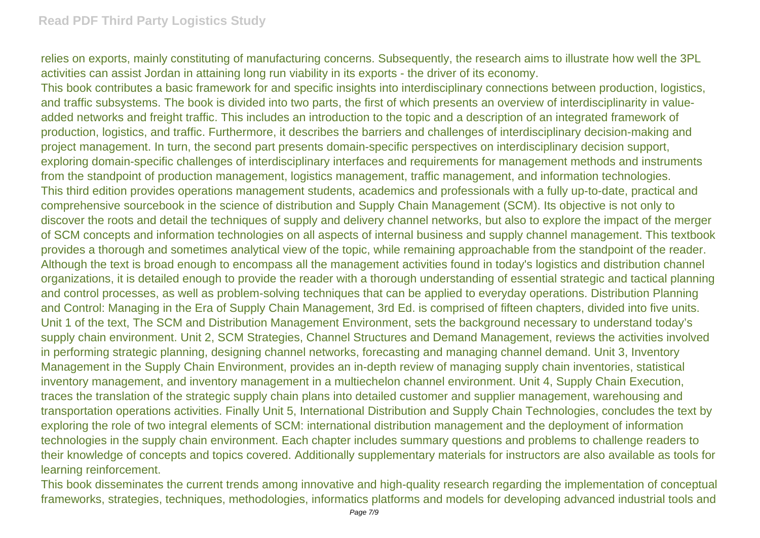relies on exports, mainly constituting of manufacturing concerns. Subsequently, the research aims to illustrate how well the 3PL activities can assist Jordan in attaining long run viability in its exports - the driver of its economy.

This book contributes a basic framework for and specific insights into interdisciplinary connections between production, logistics, and traffic subsystems. The book is divided into two parts, the first of which presents an overview of interdisciplinarity in valueadded networks and freight traffic. This includes an introduction to the topic and a description of an integrated framework of production, logistics, and traffic. Furthermore, it describes the barriers and challenges of interdisciplinary decision-making and project management. In turn, the second part presents domain-specific perspectives on interdisciplinary decision support, exploring domain-specific challenges of interdisciplinary interfaces and requirements for management methods and instruments from the standpoint of production management, logistics management, traffic management, and information technologies. This third edition provides operations management students, academics and professionals with a fully up-to-date, practical and comprehensive sourcebook in the science of distribution and Supply Chain Management (SCM). Its objective is not only to discover the roots and detail the techniques of supply and delivery channel networks, but also to explore the impact of the merger of SCM concepts and information technologies on all aspects of internal business and supply channel management. This textbook provides a thorough and sometimes analytical view of the topic, while remaining approachable from the standpoint of the reader. Although the text is broad enough to encompass all the management activities found in today's logistics and distribution channel organizations, it is detailed enough to provide the reader with a thorough understanding of essential strategic and tactical planning and control processes, as well as problem-solving techniques that can be applied to everyday operations. Distribution Planning and Control: Managing in the Era of Supply Chain Management, 3rd Ed. is comprised of fifteen chapters, divided into five units. Unit 1 of the text, The SCM and Distribution Management Environment, sets the background necessary to understand today's supply chain environment. Unit 2, SCM Strategies, Channel Structures and Demand Management, reviews the activities involved in performing strategic planning, designing channel networks, forecasting and managing channel demand. Unit 3, Inventory Management in the Supply Chain Environment, provides an in-depth review of managing supply chain inventories, statistical inventory management, and inventory management in a multiechelon channel environment. Unit 4, Supply Chain Execution, traces the translation of the strategic supply chain plans into detailed customer and supplier management, warehousing and transportation operations activities. Finally Unit 5, International Distribution and Supply Chain Technologies, concludes the text by exploring the role of two integral elements of SCM: international distribution management and the deployment of information technologies in the supply chain environment. Each chapter includes summary questions and problems to challenge readers to their knowledge of concepts and topics covered. Additionally supplementary materials for instructors are also available as tools for learning reinforcement.

This book disseminates the current trends among innovative and high-quality research regarding the implementation of conceptual frameworks, strategies, techniques, methodologies, informatics platforms and models for developing advanced industrial tools and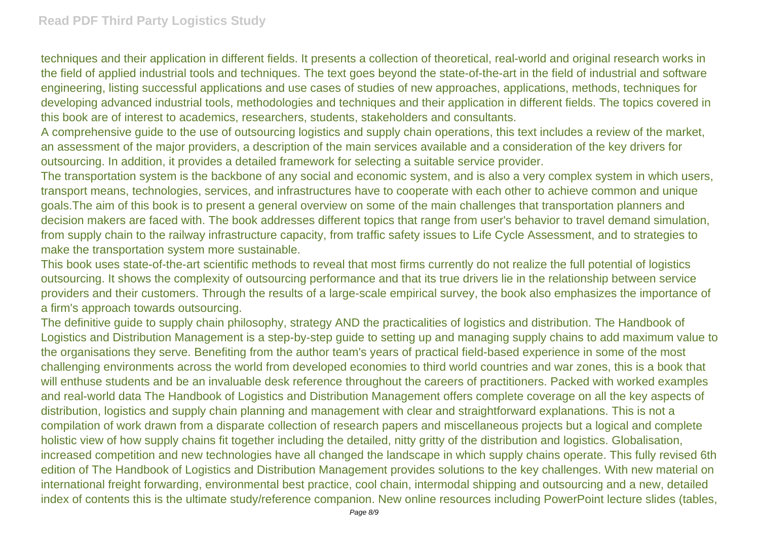techniques and their application in different fields. It presents a collection of theoretical, real-world and original research works in the field of applied industrial tools and techniques. The text goes beyond the state-of-the-art in the field of industrial and software engineering, listing successful applications and use cases of studies of new approaches, applications, methods, techniques for developing advanced industrial tools, methodologies and techniques and their application in different fields. The topics covered in this book are of interest to academics, researchers, students, stakeholders and consultants.

A comprehensive guide to the use of outsourcing logistics and supply chain operations, this text includes a review of the market, an assessment of the major providers, a description of the main services available and a consideration of the key drivers for outsourcing. In addition, it provides a detailed framework for selecting a suitable service provider.

The transportation system is the backbone of any social and economic system, and is also a very complex system in which users, transport means, technologies, services, and infrastructures have to cooperate with each other to achieve common and unique goals.The aim of this book is to present a general overview on some of the main challenges that transportation planners and decision makers are faced with. The book addresses different topics that range from user's behavior to travel demand simulation, from supply chain to the railway infrastructure capacity, from traffic safety issues to Life Cycle Assessment, and to strategies to make the transportation system more sustainable.

This book uses state-of-the-art scientific methods to reveal that most firms currently do not realize the full potential of logistics outsourcing. It shows the complexity of outsourcing performance and that its true drivers lie in the relationship between service providers and their customers. Through the results of a large-scale empirical survey, the book also emphasizes the importance of a firm's approach towards outsourcing.

The definitive guide to supply chain philosophy, strategy AND the practicalities of logistics and distribution. The Handbook of Logistics and Distribution Management is a step-by-step guide to setting up and managing supply chains to add maximum value to the organisations they serve. Benefiting from the author team's years of practical field-based experience in some of the most challenging environments across the world from developed economies to third world countries and war zones, this is a book that will enthuse students and be an invaluable desk reference throughout the careers of practitioners. Packed with worked examples and real-world data The Handbook of Logistics and Distribution Management offers complete coverage on all the key aspects of distribution, logistics and supply chain planning and management with clear and straightforward explanations. This is not a compilation of work drawn from a disparate collection of research papers and miscellaneous projects but a logical and complete holistic view of how supply chains fit together including the detailed, nitty gritty of the distribution and logistics. Globalisation, increased competition and new technologies have all changed the landscape in which supply chains operate. This fully revised 6th edition of The Handbook of Logistics and Distribution Management provides solutions to the key challenges. With new material on international freight forwarding, environmental best practice, cool chain, intermodal shipping and outsourcing and a new, detailed index of contents this is the ultimate study/reference companion. New online resources including PowerPoint lecture slides (tables,